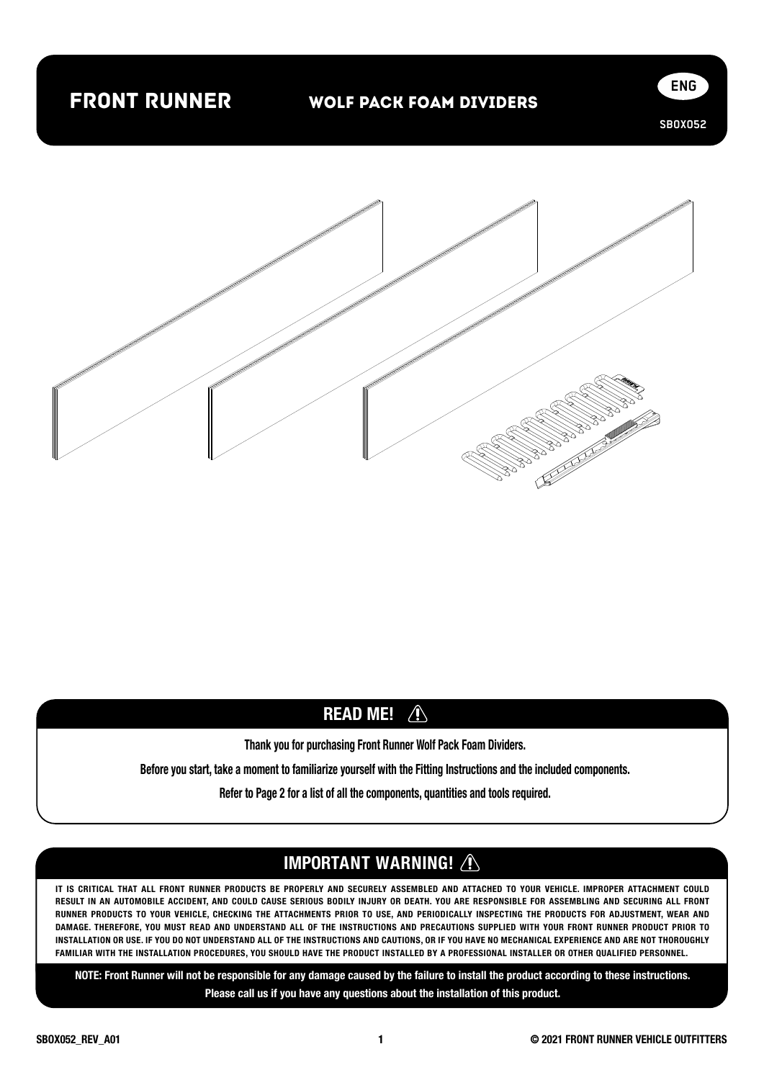## front runner

**SBOX052**

**ENG**



## **READ ME! A**

Thank you for purchasing Front Runner Wolf Pack Foam Dividers.

Before you start, take a moment to familiarize yourself with the Fitting Instructions and the included components.

Refer to Page 2 for a list of all the components, quantities and tools required.

## IMPORTANT WARNING! /

IT IS CRITICAL THAT ALL FRONT RUNNER PRODUCTS BE PROPERLY AND SECURELY ASSEMBLED AND ATTACHED TO YOUR VEHICLE. IMPROPER ATTACHMENT COULD RESULT IN AN AUTOMOBILE ACCIDENT, AND COULD CAUSE SERIOUS BODILY INJURY OR DEATH. YOU ARE RESPONSIBLE FOR ASSEMBLING AND SECURING ALL FRONT RUNNER PRODUCTS TO YOUR VEHICLE, CHECKING THE ATTACHMENTS PRIOR TO USE, AND PERIODICALLY INSPECTING THE PRODUCTS FOR ADJUSTMENT, WEAR AND DAMAGE. THEREFORE, YOU MUST READ AND UNDERSTAND ALL OF THE INSTRUCTIONS AND PRECAUTIONS SUPPLIED WITH YOUR FRONT RUNNER PRODUCT PRIOR TO INSTALLATION OR USE. IF YOU DO NOT UNDERSTAND ALL OF THE INSTRUCTIONS AND CAUTIONS, OR IF YOU HAVE NO MECHANICAL EXPERIENCE AND ARE NOT THOROUGHLY FAMILIAR WITH THE INSTALLATION PROCEDURES, YOU SHOULD HAVE THE PRODUCT INSTALLED BY A PROFESSIONAL INSTALLER OR OTHER QUALIFIED PERSONNEL.

NOTE: Front Runner will not be responsible for any damage caused by the failure to install the product according to these instructions. Please call us if you have any questions about the installation of this product.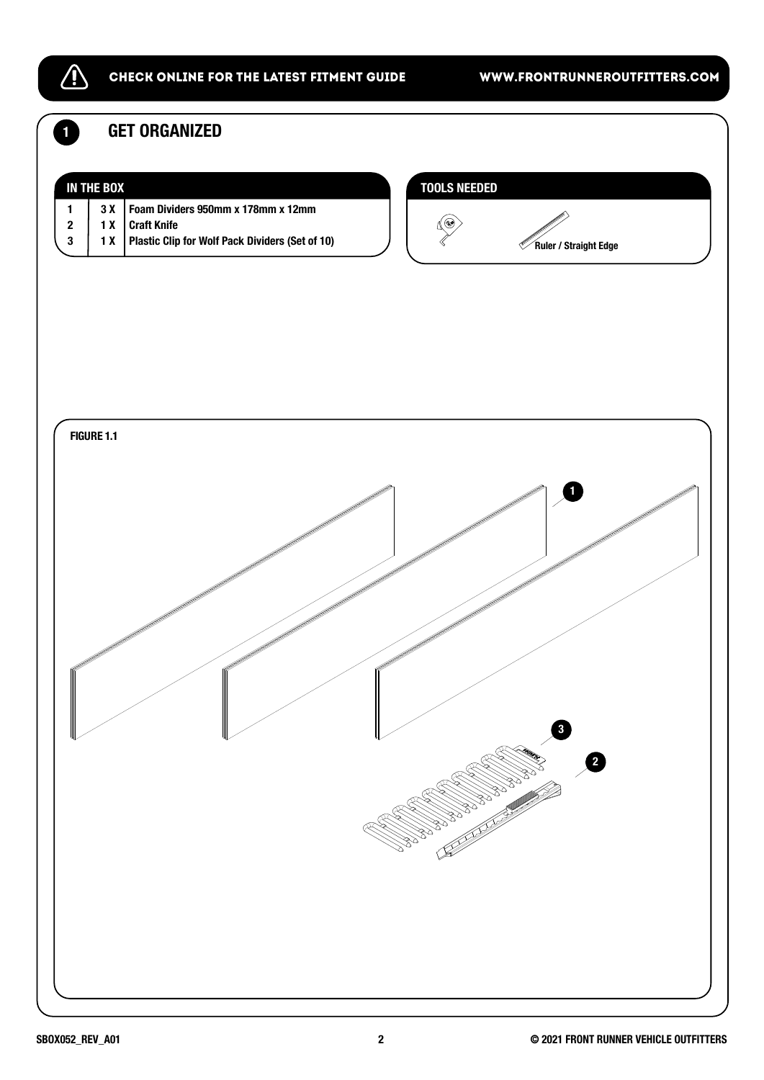

#### CHECK ONLINE FOR THE LATEST FITMENT GUIDE WWW.FRONTRUNNEROUTFITTERS.COM

**1 GET ORGANIZED** 

|                                    | <b>IN THE BOX</b> |                                                                                                                                                                                                                                  | <b>TOOLS NEEDED</b>                                                                                                                                                                                                                                                                                                                                                                                                                                              |
|------------------------------------|-------------------|----------------------------------------------------------------------------------------------------------------------------------------------------------------------------------------------------------------------------------|------------------------------------------------------------------------------------------------------------------------------------------------------------------------------------------------------------------------------------------------------------------------------------------------------------------------------------------------------------------------------------------------------------------------------------------------------------------|
| $\mathbf{1}$<br>$\bf 2$<br>$\bf 3$ | $3 X$<br>1X<br>1X | Foam Dividers 950mm x 178mm x 12mm<br><b>Craft Knife</b><br>Plastic Clip for Wolf Pack Dividers (Set of 10)                                                                                                                      | ℭ                                                                                                                                                                                                                                                                                                                                                                                                                                                                |
|                                    |                   |                                                                                                                                                                                                                                  | Ruler / Straight Edge                                                                                                                                                                                                                                                                                                                                                                                                                                            |
|                                    |                   |                                                                                                                                                                                                                                  |                                                                                                                                                                                                                                                                                                                                                                                                                                                                  |
|                                    |                   |                                                                                                                                                                                                                                  |                                                                                                                                                                                                                                                                                                                                                                                                                                                                  |
|                                    |                   |                                                                                                                                                                                                                                  |                                                                                                                                                                                                                                                                                                                                                                                                                                                                  |
|                                    |                   |                                                                                                                                                                                                                                  |                                                                                                                                                                                                                                                                                                                                                                                                                                                                  |
|                                    | <b>FIGURE 1.1</b> |                                                                                                                                                                                                                                  |                                                                                                                                                                                                                                                                                                                                                                                                                                                                  |
|                                    |                   |                                                                                                                                                                                                                                  | П                                                                                                                                                                                                                                                                                                                                                                                                                                                                |
|                                    |                   |                                                                                                                                                                                                                                  | and the contract of the contract of the contract of the contract of the contract of the contract of the contract of the contract of the contract of the contract of the contract of the contract of the contract of the contra<br>and the contract of the contract of the contract of the contract of the contract of the contract of the contract of the contract of the contract of the contract of the contract of the contract of the contract of the contra |
|                                    |                   | e de la famílie de la famílie de la famílie de la famílie de la famílie de la famílie de la famílie de la famí<br>Le famílie de la famílie de la famílie de la famílie de la famílie de la famílie de la famílie de la famílie d | le formale politica<br>Carlo Carlo Carlo Carlo Carlo Carlo Carlo Carlo Carlo Carlo Carlo Carlo Carlo Carlo Carlo Carlo Carlo Carlo Ca                                                                                                                                                                                                                                                                                                                            |
|                                    |                   |                                                                                                                                                                                                                                  | ff <sup>ff</sup>                                                                                                                                                                                                                                                                                                                                                                                                                                                 |
|                                    |                   |                                                                                                                                                                                                                                  | <u>la p</u> olitik<br>Manazarta                                                                                                                                                                                                                                                                                                                                                                                                                                  |
|                                    |                   |                                                                                                                                                                                                                                  |                                                                                                                                                                                                                                                                                                                                                                                                                                                                  |
| ⋓╱                                 |                   | ⋓╱<br>⋓╱                                                                                                                                                                                                                         | $\mathbf{a}$<br>V                                                                                                                                                                                                                                                                                                                                                                                                                                                |
|                                    |                   |                                                                                                                                                                                                                                  | <b>Communication Communication Communication Communication Communication Communication Communication Communication</b><br>$\overline{\mathbf{e}}$                                                                                                                                                                                                                                                                                                                |
|                                    |                   |                                                                                                                                                                                                                                  |                                                                                                                                                                                                                                                                                                                                                                                                                                                                  |
|                                    |                   |                                                                                                                                                                                                                                  |                                                                                                                                                                                                                                                                                                                                                                                                                                                                  |
|                                    |                   |                                                                                                                                                                                                                                  |                                                                                                                                                                                                                                                                                                                                                                                                                                                                  |
|                                    |                   |                                                                                                                                                                                                                                  |                                                                                                                                                                                                                                                                                                                                                                                                                                                                  |
|                                    |                   |                                                                                                                                                                                                                                  |                                                                                                                                                                                                                                                                                                                                                                                                                                                                  |
|                                    |                   |                                                                                                                                                                                                                                  |                                                                                                                                                                                                                                                                                                                                                                                                                                                                  |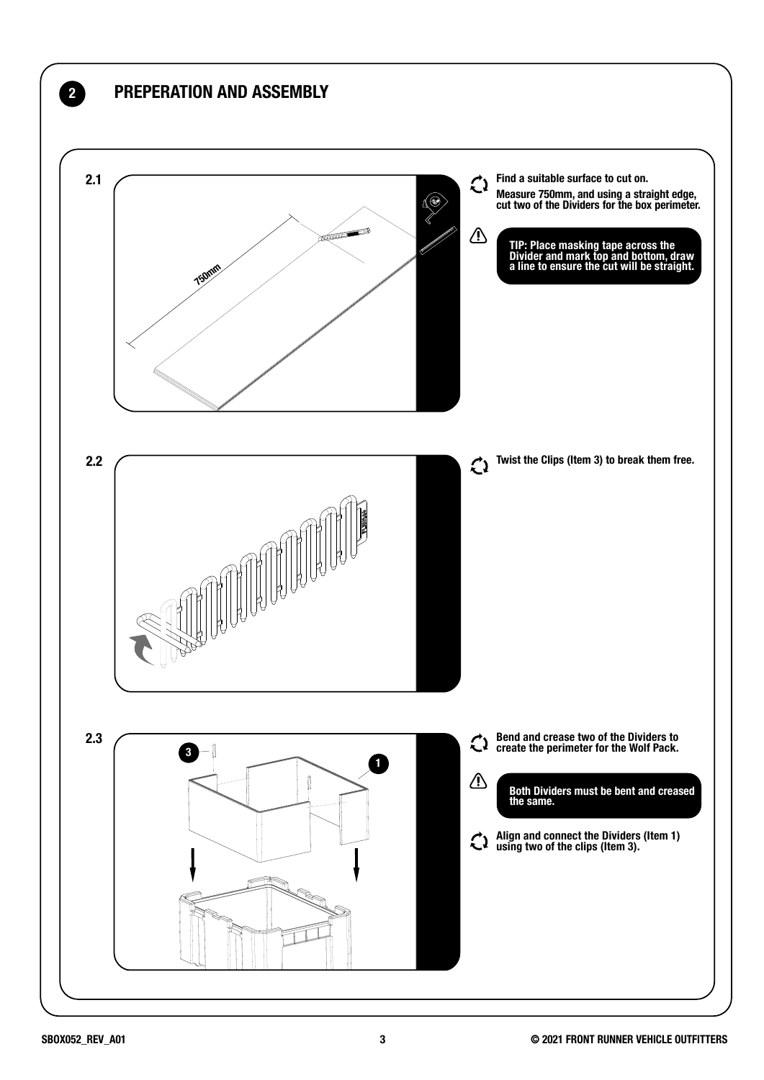